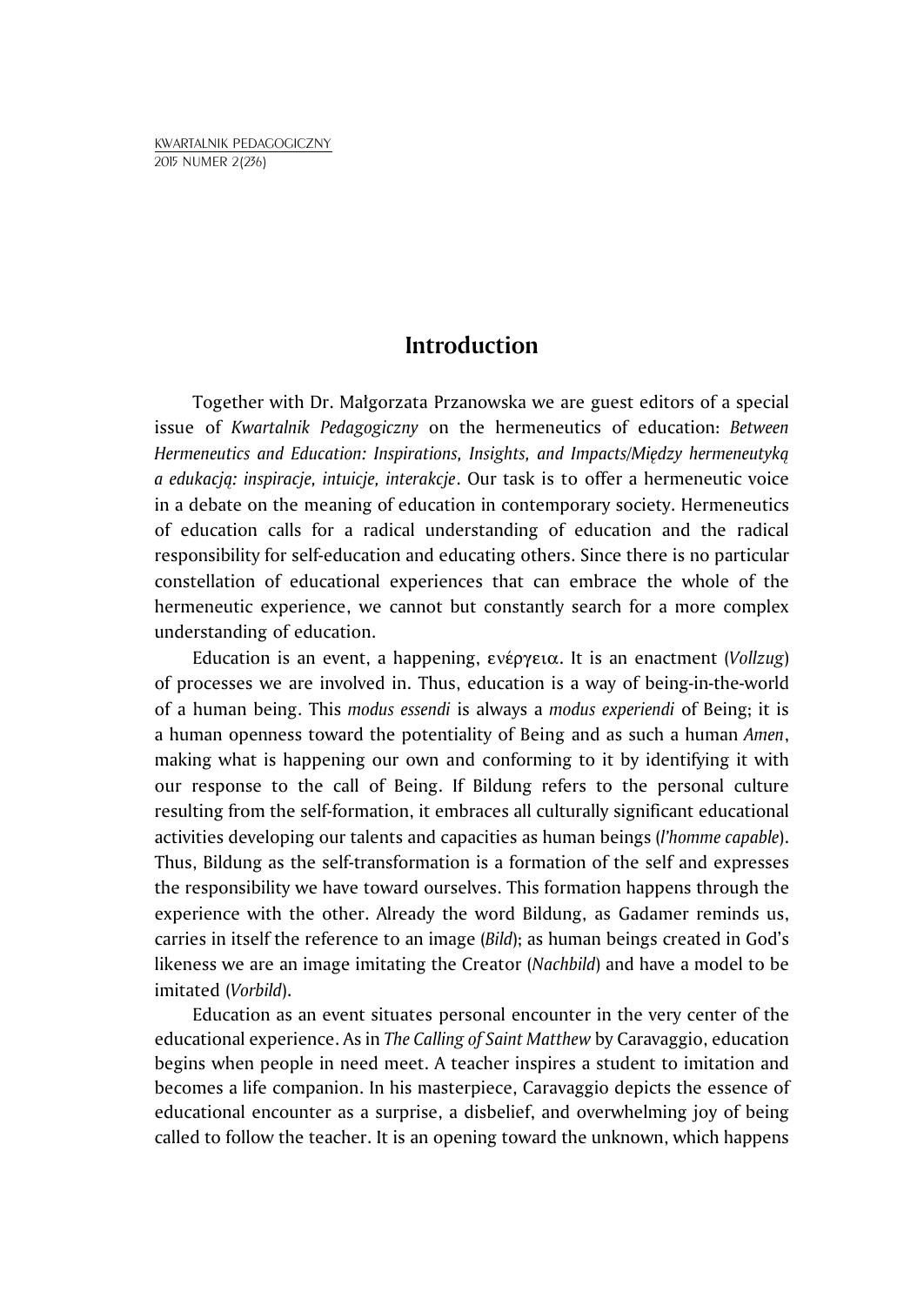## **Introduction**

Together with Dr. Małgorzata Przanowska we are guest editors of a special issue of *Kwartalnik Pedagogiczny* on the hermeneutics of education: *Between Hermeneutics and Education: Inspirations, Insights, and Impacts/Między hermeneutyką a edukacją: inspiracje, intuicje, interakcje*. Our task is to offer a hermeneutic voice in a debate on the meaning of education in contemporary society. Hermeneutics of education calls for a radical understanding of education and the radical responsibility for self-education and educating others. Since there is no particular constellation of educational experiences that can embrace the whole of the hermeneutic experience, we cannot but constantly search for a more complex understanding of education.

Education is an event, a happening, enšrgeia. It is an enactment (*Vollzug*) of processes we are involved in. Thus, education is a way of being-in-the-world of a human being. This *modus essendi* is always a *modus experiendi* of Being; it is a human openness toward the potentiality of Being and as such a human *Amen*, making what is happening our own and conforming to it by identifying it with our response to the call of Being. If Bildung refers to the personal culture resulting from the self-formation, it embraces all culturally significant educational activities developing our talents and capacities as human beings (*l'homme capable*). Thus, Bildung as the self-transformation is a formation of the self and expresses the responsibility we have toward ourselves. This formation happens through the experience with the other. Already the word Bildung, as Gadamer reminds us, carries in itself the reference to an image (*Bild*); as human beings created in God's likeness we are an image imitating the Creator (*Nachbild*) and have a model to be imitated (*Vorbild*).

Education as an event situates personal encounter in the very center of the educational experience. As in *The Calling of Saint Matthew* by Caravaggio, education begins when people in need meet. A teacher inspires a student to imitation and becomes a life companion. In his masterpiece, Caravaggio depicts the essence of educational encounter as a surprise, a disbelief, and overwhelming joy of being called to follow the teacher. It is an opening toward the unknown, which happens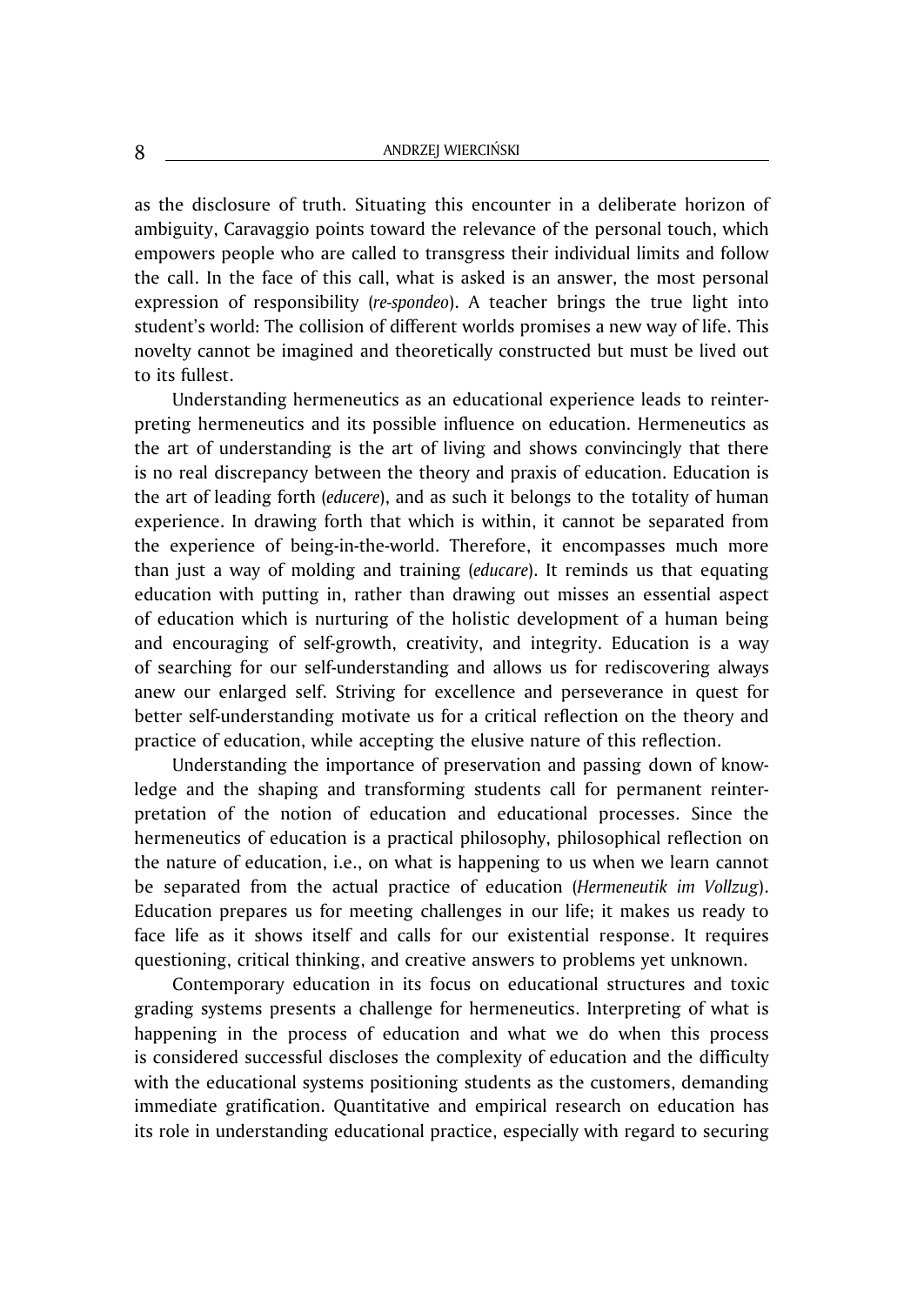as the disclosure of truth. Situating this encounter in a deliberate horizon of ambiguity, Caravaggio points toward the relevance of the personal touch, which empowers people who are called to transgress their individual limits and follow the call. In the face of this call, what is asked is an answer, the most personal expression of responsibility (*re-spondeo*). A teacher brings the true light into student's world: The collision of different worlds promises a new way of life. This novelty cannot be imagined and theoretically constructed but must be lived out to its fullest.

Understanding hermeneutics as an educational experience leads to reinterpreting hermeneutics and its possible influence on education. Hermeneutics as the art of understanding is the art of living and shows convincingly that there is no real discrepancy between the theory and praxis of education. Education is the art of leading forth (*educere*), and as such it belongs to the totality of human experience. In drawing forth that which is within, it cannot be separated from the experience of being-in-the-world. Therefore, it encompasses much more than just a way of molding and training (*educare*). It reminds us that equating education with putting in, rather than drawing out misses an essential aspect of education which is nurturing of the holistic development of a human being and encouraging of self-growth, creativity, and integrity. Education is a way of searching for our self-understanding and allows us for rediscovering always anew our enlarged self. Striving for excellence and perseverance in quest for better self-understanding motivate us for a critical reflection on the theory and practice of education, while accepting the elusive nature of this reflection.

Understanding the importance of preservation and passing down of knowledge and the shaping and transforming students call for permanent reinterpretation of the notion of education and educational processes. Since the hermeneutics of education is a practical philosophy, philosophical reflection on the nature of education, i.e., on what is happening to us when we learn cannot be separated from the actual practice of education (*Hermeneutik im Vollzug*). Education prepares us for meeting challenges in our life; it makes us ready to face life as it shows itself and calls for our existential response. It requires questioning, critical thinking, and creative answers to problems yet unknown.

Contemporary education in its focus on educational structures and toxic grading systems presents a challenge for hermeneutics. Interpreting of what is happening in the process of education and what we do when this process is considered successful discloses the complexity of education and the difficulty with the educational systems positioning students as the customers, demanding immediate gratification. Quantitative and empirical research on education has its role in understanding educational practice, especially with regard to securing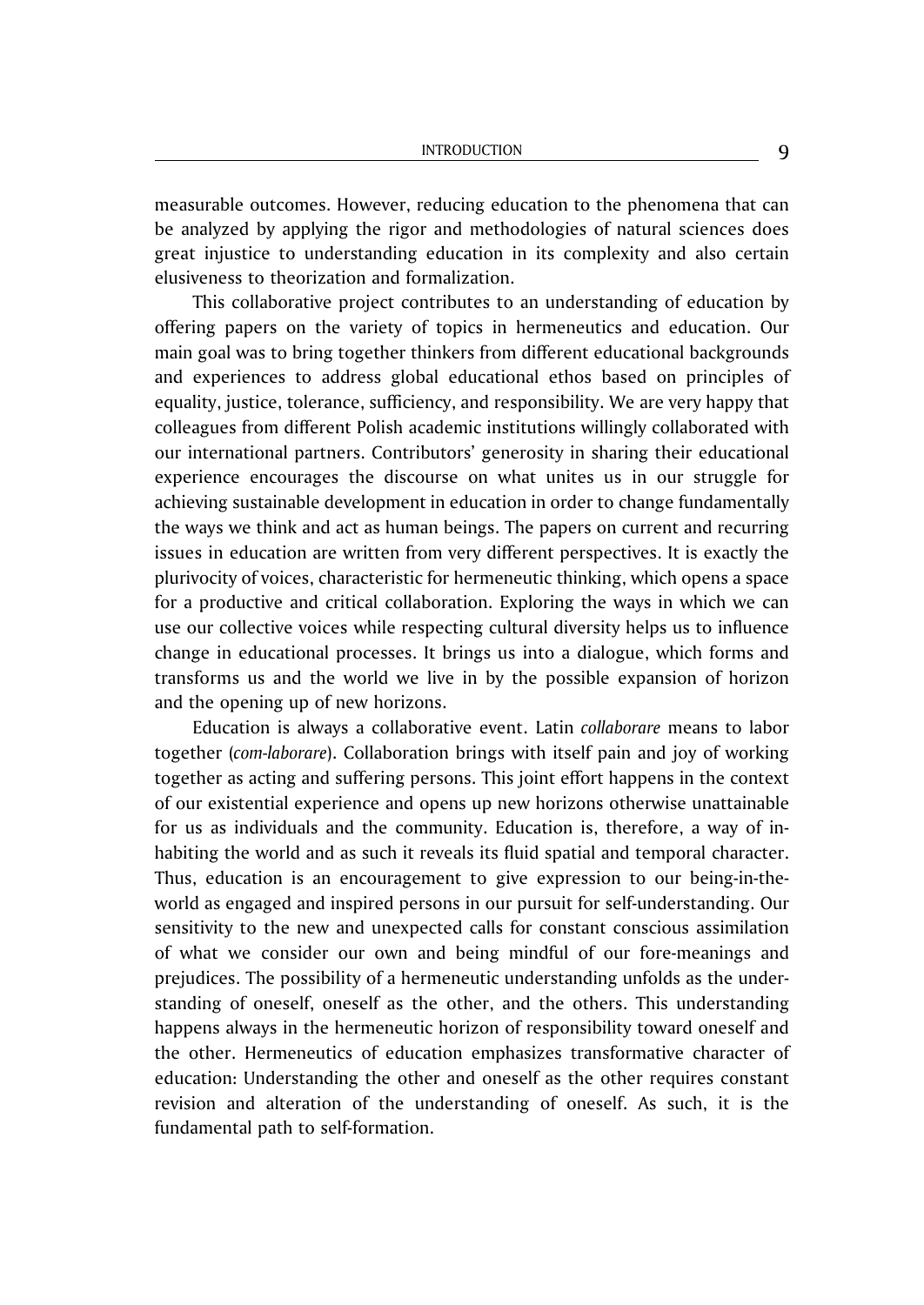measurable outcomes. However, reducing education to the phenomena that can be analyzed by applying the rigor and methodologies of natural sciences does great injustice to understanding education in its complexity and also certain elusiveness to theorization and formalization.

This collaborative project contributes to an understanding of education by offering papers on the variety of topics in hermeneutics and education. Our main goal was to bring together thinkers from different educational backgrounds and experiences to address global educational ethos based on principles of equality, justice, tolerance, sufficiency, and responsibility. We are very happy that colleagues from different Polish academic institutions willingly collaborated with our international partners. Contributors' generosity in sharing their educational experience encourages the discourse on what unites us in our struggle for achieving sustainable development in education in order to change fundamentally the ways we think and act as human beings. The papers on current and recurring issues in education are written from very different perspectives. It is exactly the plurivocity of voices, characteristic for hermeneutic thinking, which opens a space for a productive and critical collaboration. Exploring the ways in which we can use our collective voices while respecting cultural diversity helps us to influence change in educational processes. It brings us into a dialogue, which forms and transforms us and the world we live in by the possible expansion of horizon and the opening up of new horizons.

Education is always a collaborative event. Latin *collaborare* means to labor together (*com-laborare*). Collaboration brings with itself pain and joy of working together as acting and suffering persons. This joint effort happens in the context of our existential experience and opens up new horizons otherwise unattainable for us as individuals and the community. Education is, therefore, a way of inhabiting the world and as such it reveals its fluid spatial and temporal character. Thus, education is an encouragement to give expression to our being-in-theworld as engaged and inspired persons in our pursuit for self-understanding. Our sensitivity to the new and unexpected calls for constant conscious assimilation of what we consider our own and being mindful of our fore-meanings and prejudices. The possibility of a hermeneutic understanding unfolds as the understanding of oneself, oneself as the other, and the others. This understanding happens always in the hermeneutic horizon of responsibility toward oneself and the other. Hermeneutics of education emphasizes transformative character of education: Understanding the other and oneself as the other requires constant revision and alteration of the understanding of oneself. As such, it is the fundamental path to self-formation.